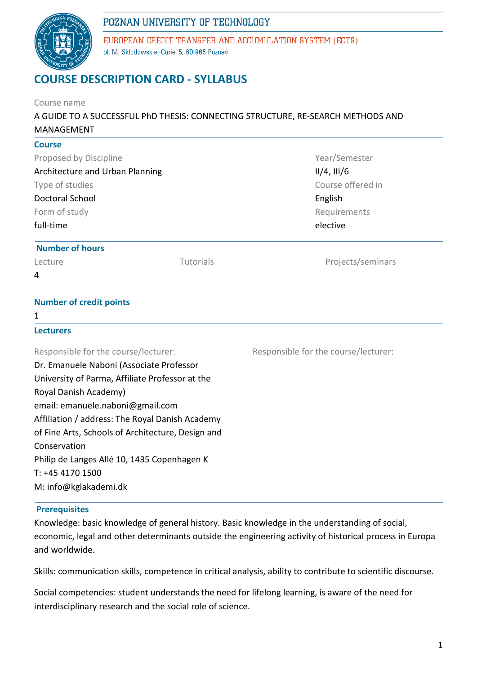

EUROPEAN CREDIT TRANSFER AND ACCUMULATION SYSTEM (ECTS) pl. M. Skłodowskiej-Curie 5, 60-965 Poznań

# **COURSE DESCRIPTION CARD - SYLLABUS**

| Course name<br>A GUIDE TO A SUCCESSFUL PhD THESIS: CONNECTING STRUCTURE, RE-SEARCH METHODS AND |                                      |  |  |  |  |
|------------------------------------------------------------------------------------------------|--------------------------------------|--|--|--|--|
|                                                                                                |                                      |  |  |  |  |
| <b>Course</b>                                                                                  |                                      |  |  |  |  |
| Proposed by Discipline                                                                         | Year/Semester                        |  |  |  |  |
| <b>Architecture and Urban Planning</b>                                                         | $II/4$ , $III/6$                     |  |  |  |  |
| Type of studies                                                                                | Course offered in                    |  |  |  |  |
| Doctoral School                                                                                | English                              |  |  |  |  |
| Form of study                                                                                  | Requirements                         |  |  |  |  |
| full-time                                                                                      | elective                             |  |  |  |  |
| <b>Number of hours</b>                                                                         |                                      |  |  |  |  |
| Tutorials<br>Lecture                                                                           | Projects/seminars                    |  |  |  |  |
| 4                                                                                              |                                      |  |  |  |  |
| <b>Number of credit points</b>                                                                 |                                      |  |  |  |  |
| 1                                                                                              |                                      |  |  |  |  |
| <b>Lecturers</b>                                                                               |                                      |  |  |  |  |
| Responsible for the course/lecturer:                                                           | Responsible for the course/lecturer: |  |  |  |  |
| Dr. Emanuele Naboni (Associate Professor                                                       |                                      |  |  |  |  |
| University of Parma, Affiliate Professor at the                                                |                                      |  |  |  |  |
| Royal Danish Academy)                                                                          |                                      |  |  |  |  |
| email: emanuele.naboni@gmail.com                                                               |                                      |  |  |  |  |
| Affiliation / address: The Royal Danish Academy                                                |                                      |  |  |  |  |
| of Fine Arts, Schools of Architecture, Design and                                              |                                      |  |  |  |  |
| Conservation                                                                                   |                                      |  |  |  |  |
| Philip de Langes Allé 10, 1435 Copenhagen K                                                    |                                      |  |  |  |  |
| T: +45 4170 1500                                                                               |                                      |  |  |  |  |
| M: info@kglakademi.dk                                                                          |                                      |  |  |  |  |

### **Prerequisites**

Knowledge: basic knowledge of general history. Basic knowledge in the understanding of social, economic, legal and other determinants outside the engineering activity of historical process in Europa and worldwide.

Skills: communication skills, competence in critical analysis, ability to contribute to scientific discourse.

Social competencies: student understands the need for lifelong learning, is aware of the need for interdisciplinary research and the social role of science.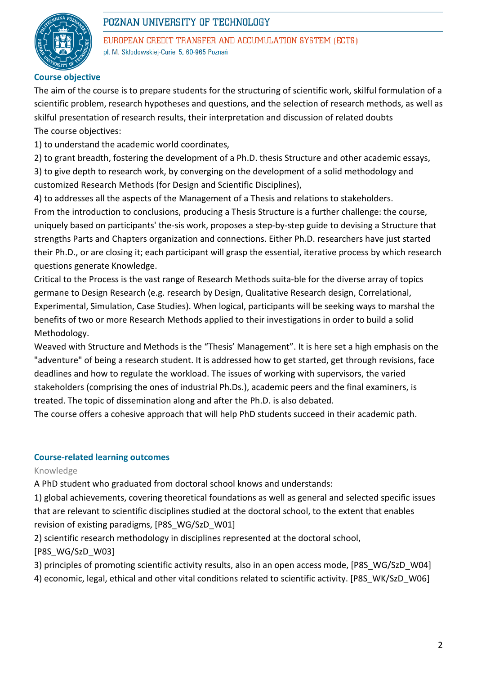

EUROPEAN CREDIT TRANSFER AND ACCUMULATION SYSTEM (ECTS) pl. M. Skłodowskiej-Curie 5, 60-965 Poznań

### **Course objective**

The aim of the course is to prepare students for the structuring of scientific work, skilful formulation of a scientific problem, research hypotheses and questions, and the selection of research methods, as well as skilful presentation of research results, their interpretation and discussion of related doubts The course objectives:

1) to understand the academic world coordinates,

2) to grant breadth, fostering the development of a Ph.D. thesis Structure and other academic essays,

3) to give depth to research work, by converging on the development of a solid methodology and customized Research Methods (for Design and Scientific Disciplines),

4) to addresses all the aspects of the Management of a Thesis and relations to stakeholders. From the introduction to conclusions, producing a Thesis Structure is a further challenge: the course, uniquely based on participants' the-sis work, proposes a step-by-step guide to devising a Structure that strengths Parts and Chapters organization and connections. Either Ph.D. researchers have just started their Ph.D., or are closing it; each participant will grasp the essential, iterative process by which research questions generate Knowledge.

Critical to the Process is the vast range of Research Methods suita-ble for the diverse array of topics germane to Design Research (e.g. research by Design, Qualitative Research design, Correlational, Experimental, Simulation, Case Studies). When logical, participants will be seeking ways to marshal the benefits of two or more Research Methods applied to their investigations in order to build a solid Methodology.

Weaved with Structure and Methods is the "Thesis' Management". It is here set a high emphasis on the "adventure" of being a research student. It is addressed how to get started, get through revisions, face deadlines and how to regulate the workload. The issues of working with supervisors, the varied stakeholders (comprising the ones of industrial Ph.Ds.), academic peers and the final examiners, is treated. The topic of dissemination along and after the Ph.D. is also debated.

The course offers a cohesive approach that will help PhD students succeed in their academic path.

#### **Course-related learning outcomes**

Knowledge

A PhD student who graduated from doctoral school knows and understands:

1) global achievements, covering theoretical foundations as well as general and selected specific issues that are relevant to scientific disciplines studied at the doctoral school, to the extent that enables revision of existing paradigms, [P8S\_WG/SzD\_W01]

2) scientific research methodology in disciplines represented at the doctoral school, [P8S\_WG/SzD\_W03]

3) principles of promoting scientific activity results, also in an open access mode, [P8S\_WG/SzD\_W04] 4) economic, legal, ethical and other vital conditions related to scientific activity. [P8S\_WK/SzD\_W06]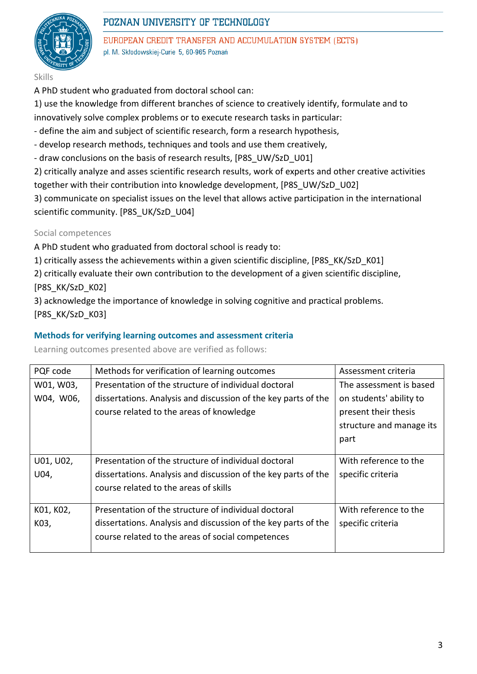

EUROPEAN CREDIT TRANSFER AND ACCUMULATION SYSTEM (ECTS) pl. M. Skłodowskiej-Curie 5, 60-965 Poznań

- Skills
- A PhD student who graduated from doctoral school can:

1) use the knowledge from different branches of science to creatively identify, formulate and to

innovatively solve complex problems or to execute research tasks in particular:

- define the aim and subject of scientific research, form a research hypothesis,
- develop research methods, techniques and tools and use them creatively,
- draw conclusions on the basis of research results, [P8S\_UW/SzD\_U01]
- 2) critically analyze and asses scientific research results, work of experts and other creative activities together with their contribution into knowledge development, [P8S\_UW/SzD\_U02]

3) communicate on specialist issues on the level that allows active participation in the international scientific community. [P8S\_UK/SzD\_U04]

### Social competences

A PhD student who graduated from doctoral school is ready to:

1) critically assess the achievements within a given scientific discipline, [P8S\_KK/SzD\_K01]

2) critically evaluate their own contribution to the development of a given scientific discipline, [P8S\_KK/SzD\_K02]

3) acknowledge the importance of knowledge in solving cognitive and practical problems. [P8S\_KK/SzD\_K03]

### **Methods for verifying learning outcomes and assessment criteria**

Learning outcomes presented above are verified as follows:

| PQF code  | Methods for verification of learning outcomes                  | Assessment criteria      |  |
|-----------|----------------------------------------------------------------|--------------------------|--|
| W01, W03, | Presentation of the structure of individual doctoral           | The assessment is based  |  |
| W04, W06, | dissertations. Analysis and discussion of the key parts of the | on students' ability to  |  |
|           | course related to the areas of knowledge                       | present their thesis     |  |
|           |                                                                | structure and manage its |  |
|           |                                                                | part                     |  |
|           |                                                                |                          |  |
| U01, U02, | Presentation of the structure of individual doctoral           | With reference to the    |  |
| U04,      | dissertations. Analysis and discussion of the key parts of the | specific criteria        |  |
|           | course related to the areas of skills                          |                          |  |
|           |                                                                |                          |  |
| K01, K02, | Presentation of the structure of individual doctoral           | With reference to the    |  |
| K03,      | dissertations. Analysis and discussion of the key parts of the | specific criteria        |  |
|           | course related to the areas of social competences              |                          |  |
|           |                                                                |                          |  |